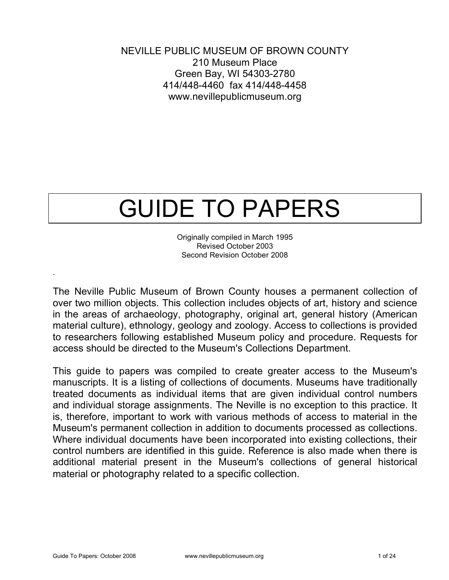NEVILLE PUBLIC MUSEUM OF BROWN COUNTY 210 Museum Place Green Bay, WI 54303-2780 414/448-4460 fax 414/448-4458 www.nevillepublicmuseum.org

# GUIDE TO PAPERS

Originally compiled in March 1995 Revised October 2003 Second Revision October 2008

The Neville Public Museum of Brown County houses a permanent collection of over two million objects. This collection includes objects of art, history and science in the areas of archaeology, photography, original art, general history (American material culture), ethnology, geology and zoology. Access to collections is provided to researchers following established Museum policy and procedure. Requests for access should be directed to the Museum's Collections Department.

This guide to papers was compiled to create greater access to the Museum's manuscripts. It is a listing of collections of documents. Museums have traditionally treated documents as individual items that are given individual control numbers and individual storage assignments. The Neville is no exception to this practice. It is, therefore, important to work with various methods of access to material in the Museum's permanent collection in addition to documents processed as collections. Where individual documents have been incorporated into existing collections, their control numbers are identified in this guide. Reference is also made when there is additional material present in the Museum's collections of general historical material or photography related to a specific collection.

.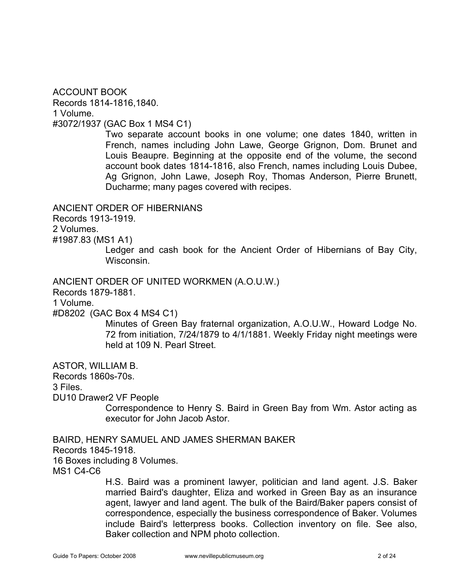ACCOUNT BOOK Records 1814-1816,1840. 1 Volume. #3072/1937 (GAC Box 1 MS4 C1)

> Two separate account books in one volume; one dates 1840, written in French, names including John Lawe, George Grignon, Dom. Brunet and Louis Beaupre. Beginning at the opposite end of the volume, the second account book dates 1814-1816, also French, names including Louis Dubee, Ag Grignon, John Lawe, Joseph Roy, Thomas Anderson, Pierre Brunett, Ducharme; many pages covered with recipes.

ANCIENT ORDER OF HIBERNIANS

Records 1913-1919.

2 Volumes.

#1987.83 (MS1 A1)

Ledger and cash book for the Ancient Order of Hibernians of Bay City, Wisconsin.

ANCIENT ORDER OF UNITED WORKMEN (A.O.U.W.)

Records 1879-1881.

1 Volume.

#D8202 (GAC Box 4 MS4 C1)

Minutes of Green Bay fraternal organization, A.O.U.W., Howard Lodge No. 72 from initiation, 7/24/1879 to 4/1/1881. Weekly Friday night meetings were held at 109 N. Pearl Street.

ASTOR, WILLIAM B.

Records 1860s-70s.

3 Files.

DU10 Drawer2 VF People

Correspondence to Henry S. Baird in Green Bay from Wm. Astor acting as executor for John Jacob Astor.

BAIRD, HENRY SAMUEL AND JAMES SHERMAN BAKER Records 1845-1918. 16 Boxes including 8 Volumes.

MS1 C4-C6

H.S. Baird was a prominent lawyer, politician and land agent. J.S. Baker married Baird's daughter, Eliza and worked in Green Bay as an insurance agent, lawyer and land agent. The bulk of the Baird/Baker papers consist of correspondence, especially the business correspondence of Baker. Volumes include Baird's letterpress books. Collection inventory on file. See also, Baker collection and NPM photo collection.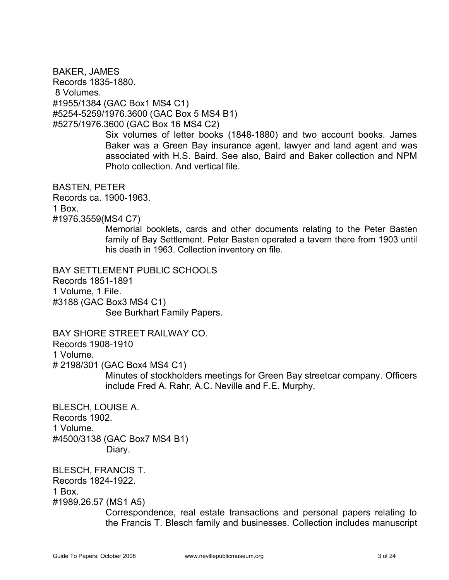BAKER, JAMES Records 1835-1880. 8 Volumes. #1955/1384 (GAC Box1 MS4 C1) #5254-5259/1976.3600 (GAC Box 5 MS4 B1) #5275/1976.3600 (GAC Box 16 MS4 C2)

> Six volumes of letter books (1848-1880) and two account books. James Baker was a Green Bay insurance agent, lawyer and land agent and was associated with H.S. Baird. See also, Baird and Baker collection and NPM Photo collection. And vertical file.

BASTEN, PETER Records ca. 1900-1963. 1 Box. #1976.3559(MS4 C7)

Memorial booklets, cards and other documents relating to the Peter Basten family of Bay Settlement. Peter Basten operated a tavern there from 1903 until his death in 1963. Collection inventory on file.

BAY SETTLEMENT PUBLIC SCHOOLS Records 1851-1891 1 Volume, 1 File. #3188 (GAC Box3 MS4 C1) See Burkhart Family Papers.

BAY SHORE STREET RAILWAY CO. Records 1908-1910

1 Volume.

# 2198/301 (GAC Box4 MS4 C1)

Minutes of stockholders meetings for Green Bay streetcar company. Officers include Fred A. Rahr, A.C. Neville and F.E. Murphy.

BLESCH, LOUISE A. Records 1902. 1 Volume. #4500/3138 (GAC Box7 MS4 B1) Diary.

BLESCH, FRANCIS T. Records 1824-1922. 1 Box. #1989.26.57 (MS1 A5)

> Correspondence, real estate transactions and personal papers relating to the Francis T. Blesch family and businesses. Collection includes manuscript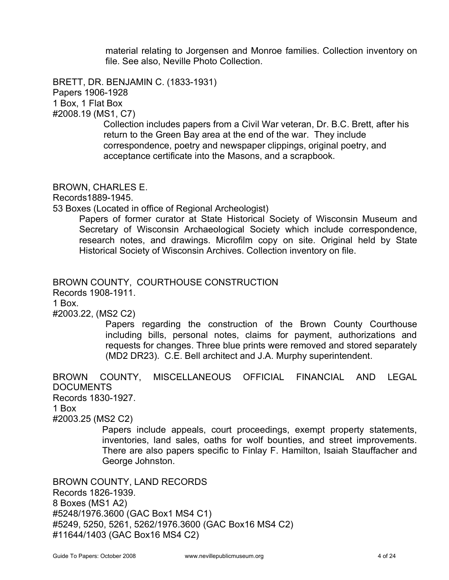material relating to Jorgensen and Monroe families. Collection inventory on file. See also, Neville Photo Collection.

BRETT, DR. BENJAMIN C. (1833-1931) Papers 1906-1928 1 Box, 1 Flat Box #2008.19 (MS1, C7)

 Collection includes papers from a Civil War veteran, Dr. B.C. Brett, after his return to the Green Bay area at the end of the war. They include correspondence, poetry and newspaper clippings, original poetry, and acceptance certificate into the Masons, and a scrapbook.

BROWN, CHARLES E.

Records1889-1945.

53 Boxes (Located in office of Regional Archeologist)

Papers of former curator at State Historical Society of Wisconsin Museum and Secretary of Wisconsin Archaeological Society which include correspondence, research notes, and drawings. Microfilm copy on site. Original held by State Historical Society of Wisconsin Archives. Collection inventory on file.

## BROWN COUNTY, COURTHOUSE CONSTRUCTION

Records 1908-1911.

1 Box.

#2003.22, (MS2 C2)

Papers regarding the construction of the Brown County Courthouse including bills, personal notes, claims for payment, authorizations and requests for changes. Three blue prints were removed and stored separately (MD2 DR23). C.E. Bell architect and J.A. Murphy superintendent.

BROWN COUNTY, MISCELLANEOUS OFFICIAL FINANCIAL AND LEGAL **DOCUMENTS** Records 1830-1927. 1 Box #2003.25 (MS2 C2) Papers include appeals, court proceedings, exempt property statements,

inventories, land sales, oaths for wolf bounties, and street improvements. There are also papers specific to Finlay F. Hamilton, Isaiah Stauffacher and George Johnston.

BROWN COUNTY, LAND RECORDS Records 1826-1939. 8 Boxes (MS1 A2) #5248/1976.3600 (GAC Box1 MS4 C1) #5249, 5250, 5261, 5262/1976.3600 (GAC Box16 MS4 C2) #11644/1403 (GAC Box16 MS4 C2)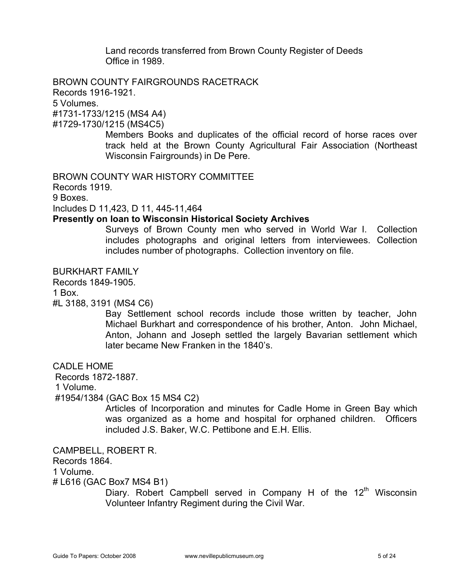Land records transferred from Brown County Register of Deeds Office in 1989.

BROWN COUNTY FAIRGROUNDS RACETRACK Records 1916-1921. 5 Volumes. #1731-1733/1215 (MS4 A4)

#1729-1730/1215 (MS4C5)

Members Books and duplicates of the official record of horse races over track held at the Brown County Agricultural Fair Association (Northeast Wisconsin Fairgrounds) in De Pere.

BROWN COUNTY WAR HISTORY COMMITTEE

Records 1919.

9 Boxes.

Includes D 11,423, D 11, 445-11,464

### **Presently on loan to Wisconsin Historical Society Archives**

Surveys of Brown County men who served in World War I. Collection includes photographs and original letters from interviewees. Collection includes number of photographs. Collection inventory on file.

BURKHART FAMILY

Records 1849-1905.

1 Box.

#L 3188, 3191 (MS4 C6)

Bay Settlement school records include those written by teacher, John Michael Burkhart and correspondence of his brother, Anton. John Michael, Anton, Johann and Joseph settled the largely Bavarian settlement which later became New Franken in the 1840's.

CADLE HOME

Records 1872-1887.

1 Volume.

#1954/1384 (GAC Box 15 MS4 C2)

Articles of Incorporation and minutes for Cadle Home in Green Bay which was organized as a home and hospital for orphaned children. Officers included J.S. Baker, W.C. Pettibone and E.H. Ellis.

CAMPBELL, ROBERT R.

Records 1864.

1 Volume.

# L616 (GAC Box7 MS4 B1)

Diary. Robert Campbell served in Company H of the  $12<sup>th</sup>$  Wisconsin Volunteer Infantry Regiment during the Civil War.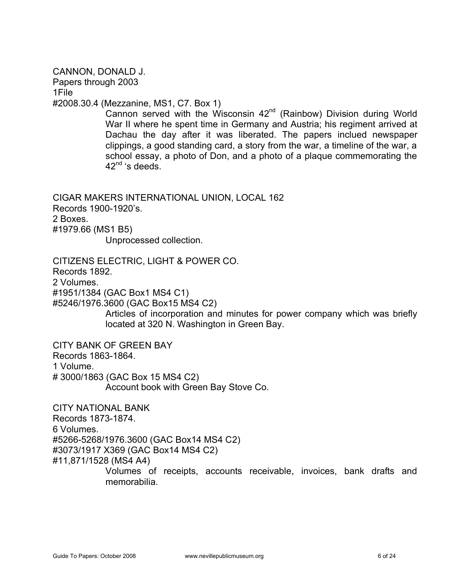CANNON, DONALD J. Papers through 2003 1File #2008.30.4 (Mezzanine, MS1, C7. Box 1) Cannon served with the Wisconsin  $42^{nd}$  (Rainbow) Division during World War II where he spent time in Germany and Austria; his regiment arrived at Dachau the day after it was liberated. The papers inclued newspaper clippings, a good standing card, a story from the war, a timeline of the war, a school essay, a photo of Don, and a photo of a plaque commemorating the  $42<sup>nd</sup>$ 's deeds. CIGAR MAKERS INTERNATIONAL UNION, LOCAL 162 Records 1900-1920's. 2 Boxes. #1979.66 (MS1 B5) Unprocessed collection. CITIZENS ELECTRIC, LIGHT & POWER CO. Records 1892. 2 Volumes. #1951/1384 (GAC Box1 MS4 C1) #5246/1976.3600 (GAC Box15 MS4 C2) Articles of incorporation and minutes for power company which was briefly located at 320 N. Washington in Green Bay. CITY BANK OF GREEN BAY Records 1863-1864. 1 Volume. # 3000/1863 (GAC Box 15 MS4 C2) Account book with Green Bay Stove Co. CITY NATIONAL BANK Records 1873-1874. 6 Volumes. #5266-5268/1976.3600 (GAC Box14 MS4 C2) #3073/1917 X369 (GAC Box14 MS4 C2) #11,871/1528 (MS4 A4)

> Volumes of receipts, accounts receivable, invoices, bank drafts and memorabilia.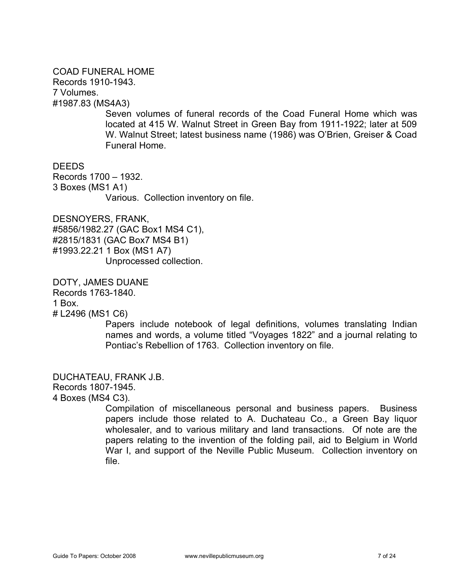## COAD FUNERAL HOME Records 1910-1943. 7 Volumes. #1987.83 (MS4A3)

Seven volumes of funeral records of the Coad Funeral Home which was located at 415 W. Walnut Street in Green Bay from 1911-1922; later at 509 W. Walnut Street; latest business name (1986) was O'Brien, Greiser & Coad Funeral Home.

DEEDS

Records 1700 – 1932. 3 Boxes (MS1 A1) Various. Collection inventory on file.

DESNOYERS, FRANK, #5856/1982.27 (GAC Box1 MS4 C1), #2815/1831 (GAC Box7 MS4 B1) #1993.22.21 1 Box (MS1 A7) Unprocessed collection.

DOTY, JAMES DUANE

Records 1763-1840.

1 Box.

# L2496 (MS1 C6)

Papers include notebook of legal definitions, volumes translating Indian names and words, a volume titled "Voyages 1822" and a journal relating to Pontiac's Rebellion of 1763. Collection inventory on file.

DUCHATEAU, FRANK J.B. Records 1807-1945. 4 Boxes (MS4 C3).

> Compilation of miscellaneous personal and business papers. Business papers include those related to A. Duchateau Co., a Green Bay liquor wholesaler, and to various military and land transactions. Of note are the papers relating to the invention of the folding pail, aid to Belgium in World War I, and support of the Neville Public Museum. Collection inventory on file.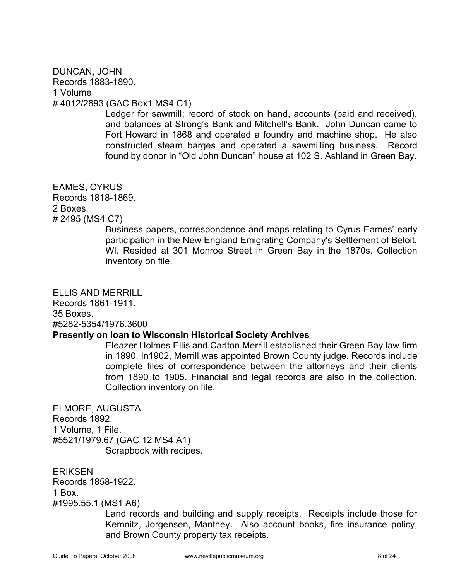## DUNCAN, JOHN Records 1883-1890. 1 Volume # 4012/2893 (GAC Box1 MS4 C1)

Ledger for sawmill; record of stock on hand, accounts (paid and received), and balances at Strong's Bank and Mitchell's Bank. John Duncan came to Fort Howard in 1868 and operated a foundry and machine shop. He also constructed steam barges and operated a sawmilling business. Record found by donor in "Old John Duncan" house at 102 S. Ashland in Green Bay.

## EAMES, CYRUS Records 1818-1869. 2 Boxes. # 2495 (MS4 C7)

Business papers, correspondence and maps relating to Cyrus Eames' early participation in the New England Emigrating Company's Settlement of Beloit, Wl. Resided at 301 Monroe Street in Green Bay in the 1870s. Collection inventory on file.

ELLIS AND MERRILL

Records 1861-1911. 35 Boxes. #5282-5354/1976.3600

## **Presently on loan to Wisconsin Historical Society Archives**

Eleazer Holmes Ellis and Carlton Merrill established their Green Bay law firm in 1890. In1902, Merrill was appointed Brown County judge. Records include complete files of correspondence between the attorneys and their clients from 1890 to 1905. Financial and legal records are also in the collection. Collection inventory on file.

ELMORE, AUGUSTA Records 1892. 1 Volume, 1 File. #5521/1979.67 (GAC 12 MS4 A1) Scrapbook with recipes.

**ERIKSEN** Records 1858-1922. 1 Box. #1995.55.1 (MS1 A6)

Land records and building and supply receipts. Receipts include those for Kemnitz, Jorgensen, Manthey. Also account books, fire insurance policy, and Brown County property tax receipts.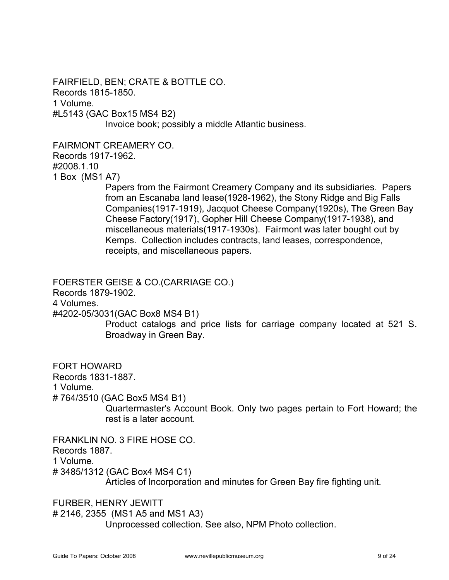FAIRFIELD, BEN; CRATE & BOTTLE CO. Records 1815-1850. 1 Volume. #L5143 (GAC Box15 MS4 B2) Invoice book; possibly a middle Atlantic business.

FAIRMONT CREAMERY CO.

Records 1917-1962.

#2008.1.10

1 Box (MS1 A7)

Papers from the Fairmont Creamery Company and its subsidiaries. Papers from an Escanaba land lease(1928-1962), the Stony Ridge and Big Falls Companies(1917-1919), Jacquot Cheese Company(1920s), The Green Bay Cheese Factory(1917), Gopher Hill Cheese Company(1917-1938), and miscellaneous materials(1917-1930s). Fairmont was later bought out by Kemps. Collection includes contracts, land leases, correspondence, receipts, and miscellaneous papers.

FOERSTER GEISE & CO.(CARRIAGE CO.)

Records 1879-1902.

4 Volumes.

#4202-05/3031(GAC Box8 MS4 B1)

Product catalogs and price lists for carriage company located at 521 S. Broadway in Green Bay.

FORT HOWARD Records 1831-1887. 1 Volume. # 764/3510 (GAC Box5 MS4 B1) Quartermaster's Account Book. Only two pages pertain to Fort Howard; the rest is a later account.

FRANKLIN NO. 3 FIRE HOSE CO. Records 1887. 1 Volume. # 3485/1312 (GAC Box4 MS4 C1) Articles of Incorporation and minutes for Green Bay fire fighting unit.

FURBER, HENRY JEWITT # 2146, 2355 (MS1 A5 and MS1 A3) Unprocessed collection. See also, NPM Photo collection.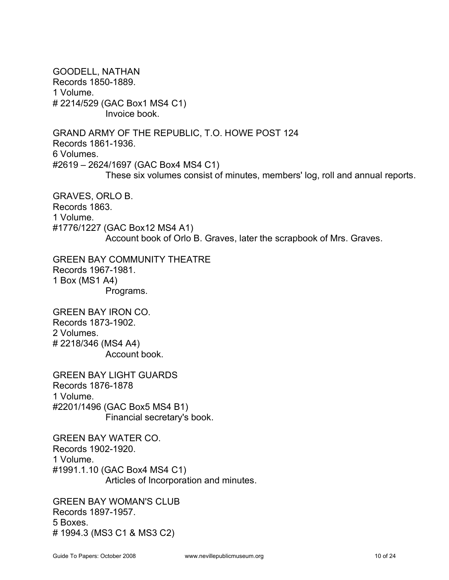GOODELL, NATHAN Records 1850-1889. 1 Volume. # 2214/529 (GAC Box1 MS4 C1) Invoice book. GRAND ARMY OF THE REPUBLIC, T.O. HOWE POST 124 Records 1861-1936. 6 Volumes. #2619 – 2624/1697 (GAC Box4 MS4 C1) These six volumes consist of minutes, members' log, roll and annual reports. GRAVES, ORLO B.

Records 1863. 1 Volume. #1776/1227 (GAC Box12 MS4 A1) Account book of Orlo B. Graves, later the scrapbook of Mrs. Graves.

GREEN BAY COMMUNITY THEATRE Records 1967-1981. 1 Box (MS1 A4) Programs.

GREEN BAY IRON CO. Records 1873-1902. 2 Volumes. # 2218/346 (MS4 A4) Account book.

GREEN BAY LIGHT GUARDS Records 1876-1878 1 Volume. #2201/1496 (GAC Box5 MS4 B1) Financial secretary's book.

GREEN BAY WATER CO. Records 1902-1920. 1 Volume. #1991.1.10 (GAC Box4 MS4 C1) Articles of Incorporation and minutes.

GREEN BAY WOMAN'S CLUB Records 1897-1957. 5 Boxes. # 1994.3 (MS3 C1 & MS3 C2)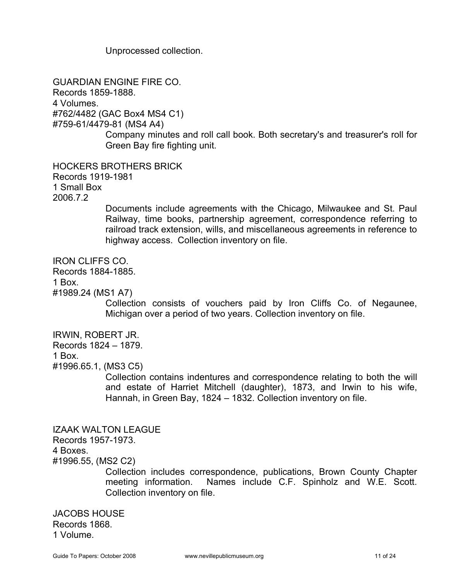Unprocessed collection.

GUARDIAN ENGINE FIRE CO. Records 1859-1888. 4 Volumes. #762/4482 (GAC Box4 MS4 C1) #759-61/4479-81 (MS4 A4) Company minutes and roll call book. Both secretary's and treasurer's roll for Green Bay fire fighting unit. HOCKERS BROTHERS BRICK Records 1919-1981

1 Small Box 2006.7.2

> Documents include agreements with the Chicago, Milwaukee and St. Paul Railway, time books, partnership agreement, correspondence referring to railroad track extension, wills, and miscellaneous agreements in reference to highway access. Collection inventory on file.

IRON CLIFFS CO.

Records 1884-1885.

1 Box.

#1989.24 (MS1 A7)

Collection consists of vouchers paid by Iron Cliffs Co. of Negaunee, Michigan over a period of two years. Collection inventory on file.

IRWIN, ROBERT JR.

Records 1824 – 1879.

1 Box.

#1996.65.1, (MS3 C5)

Collection contains indentures and correspondence relating to both the will and estate of Harriet Mitchell (daughter), 1873, and Irwin to his wife, Hannah, in Green Bay, 1824 – 1832. Collection inventory on file.

IZAAK WALTON LEAGUE Records 1957-1973.

4 Boxes.

#1996.55, (MS2 C2)

Collection includes correspondence, publications, Brown County Chapter meeting information. Names include C.F. Spinholz and W.E. Scott. Collection inventory on file.

JACOBS HOUSE Records 1868. 1 Volume.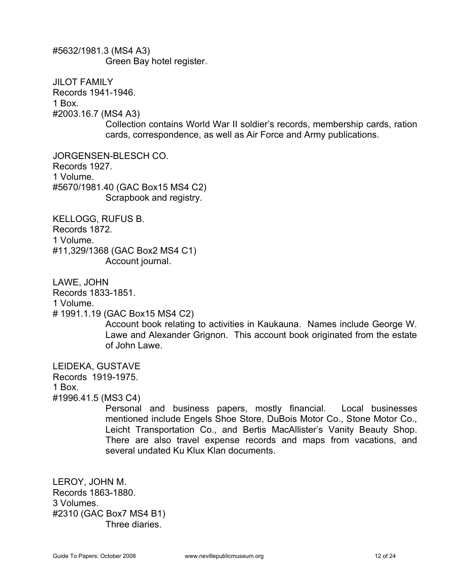#5632/1981.3 (MS4 A3) Green Bay hotel register.

JILOT FAMILY Records 1941-1946. 1 Box. #2003.16.7 (MS4 A3) Collection contains World War II soldier's records, membership cards, ration cards, correspondence, as well as Air Force and Army publications.

JORGENSEN-BLESCH CO. Records 1927. 1 Volume. #5670/1981.40 (GAC Box15 MS4 C2) Scrapbook and registry.

KELLOGG, RUFUS B. Records 1872. 1 Volume. #11,329/1368 (GAC Box2 MS4 C1) Account journal.

LAWE, JOHN

Records 1833-1851.

1 Volume.

# 1991.1.19 (GAC Box15 MS4 C2)

Account book relating to activities in Kaukauna. Names include George W. Lawe and Alexander Grignon. This account book originated from the estate of John Lawe.

LEIDEKA, GUSTAVE

Records 1919-1975.

1 Box.

#1996.41.5 (MS3 C4)

Personal and business papers, mostly financial. Local businesses mentioned include Engels Shoe Store, DuBois Motor Co., Stone Motor Co., Leicht Transportation Co., and Bertis MacAllister's Vanity Beauty Shop. There are also travel expense records and maps from vacations, and several undated Ku Klux Klan documents.

LEROY, JOHN M. Records 1863-1880. 3 Volumes. #2310 (GAC Box7 MS4 B1) Three diaries.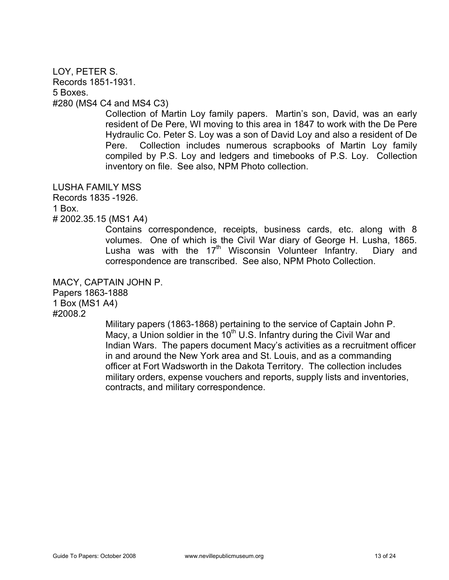## LOY, PETER S. Records 1851-1931. 5 Boxes. #280 (MS4 C4 and MS4 C3)

Collection of Martin Loy family papers. Martin's son, David, was an early resident of De Pere, WI moving to this area in 1847 to work with the De Pere Hydraulic Co. Peter S. Loy was a son of David Loy and also a resident of De Pere. Collection includes numerous scrapbooks of Martin Loy family compiled by P.S. Loy and ledgers and timebooks of P.S. Loy. Collection inventory on file. See also, NPM Photo collection.

LUSHA FAMILY MSS

Records 1835 -1926.

1 Box.

# 2002.35.15 (MS1 A4)

Contains correspondence, receipts, business cards, etc. along with 8 volumes. One of which is the Civil War diary of George H. Lusha, 1865. Lusha was with the  $17<sup>th</sup>$  Wisconsin Volunteer Infantry. Diary and correspondence are transcribed. See also, NPM Photo Collection.

MACY, CAPTAIN JOHN P. Papers 1863-1888 1 Box (MS1 A4) #2008.2

Military papers (1863-1868) pertaining to the service of Captain John P. Macy, a Union soldier in the  $10<sup>th</sup>$  U.S. Infantry during the Civil War and Indian Wars. The papers document Macy's activities as a recruitment officer in and around the New York area and St. Louis, and as a commanding officer at Fort Wadsworth in the Dakota Territory. The collection includes military orders, expense vouchers and reports, supply lists and inventories, contracts, and military correspondence.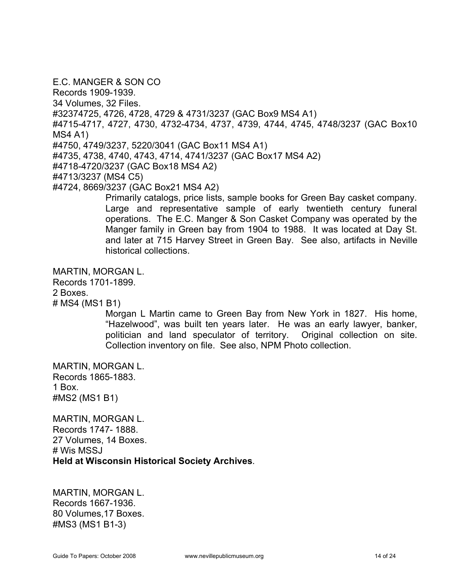E.C. MANGER & SON CO Records 1909-1939. 34 Volumes, 32 Files. #32374725, 4726, 4728, 4729 & 4731/3237 (GAC Box9 MS4 A1) #4715-4717, 4727, 4730, 4732-4734, 4737, 4739, 4744, 4745, 4748/3237 (GAC Box10 MS4 A1) #4750, 4749/3237, 5220/3041 (GAC Box11 MS4 A1) #4735, 4738, 4740, 4743, 4714, 4741/3237 (GAC Box17 MS4 A2) #4718-4720/3237 (GAC Box18 MS4 A2) #4713/3237 (MS4 C5) #4724, 8669/3237 (GAC Box21 MS4 A2) Primarily catalogs, price lists, sample books for Green Bay casket company.

Large and representative sample of early twentieth century funeral operations. The E.C. Manger & Son Casket Company was operated by the Manger family in Green bay from 1904 to 1988. It was located at Day St. and later at 715 Harvey Street in Green Bay. See also, artifacts in Neville historical collections.

MARTIN, MORGAN L.

Records 1701-1899.

2 Boxes.

# MS4 (MS1 B1)

Morgan L Martin came to Green Bay from New York in 1827. His home, "Hazelwood", was built ten years later. He was an early lawyer, banker, politician and land speculator of territory. Original collection on site. Collection inventory on file. See also, NPM Photo collection.

MARTIN, MORGAN L. Records 1865-1883. 1 Box. #MS2 (MS1 B1)

MARTIN, MORGAN L. Records 1747- 1888. 27 Volumes, 14 Boxes. # Wis MSSJ **Held at Wisconsin Historical Society Archives**.

MARTIN, MORGAN L. Records 1667-1936. 80 Volumes,17 Boxes. #MS3 (MS1 B1-3)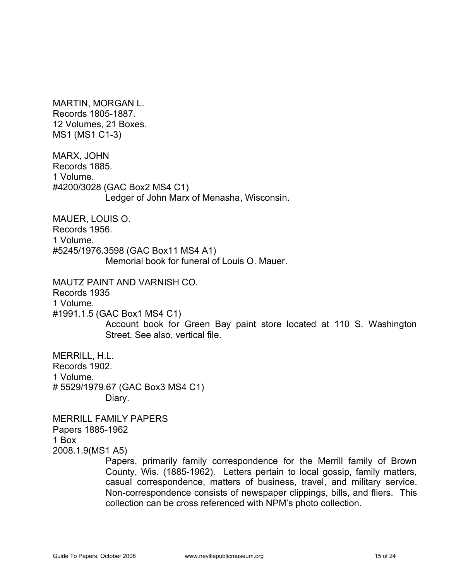MARTIN, MORGAN L. Records 1805-1887. 12 Volumes, 21 Boxes. MS1 (MS1 C1-3)

MARX, JOHN Records 1885. 1 Volume. #4200/3028 (GAC Box2 MS4 C1) Ledger of John Marx of Menasha, Wisconsin.

MAUER, LOUIS O. Records 1956. 1 Volume. #5245/1976.3598 (GAC Box11 MS4 A1) Memorial book for funeral of Louis O. Mauer.

MAUTZ PAINT AND VARNISH CO. Records 1935 1 Volume. #1991.1.5 (GAC Box1 MS4 C1) Account book for Green Bay paint store located at 110 S. Washington Street. See also, vertical file.

MERRlLL, H.L. Records 1902. 1 Volume. # 5529/1979.67 (GAC Box3 MS4 C1) Diary.

MERRILL FAMILY PAPERS Papers 1885-1962 1 Box 2008.1.9(MS1 A5)

> Papers, primarily family correspondence for the Merrill family of Brown County, Wis. (1885-1962). Letters pertain to local gossip, family matters, casual correspondence, matters of business, travel, and military service. Non-correspondence consists of newspaper clippings, bills, and fliers. This collection can be cross referenced with NPM's photo collection.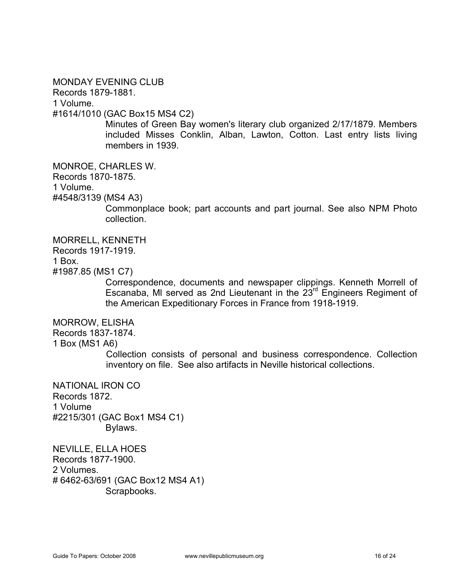### MONDAY EVENING CLUB

Records 1879-1881.

1 Volume.

#1614/1010 (GAC Box15 MS4 C2)

Minutes of Green Bay women's literary club organized 2/17/1879. Members included Misses Conklin, Alban, Lawton, Cotton. Last entry lists living members in 1939.

MONROE, CHARLES W.

Records 1870-1875.

1 Volume.

#4548/3139 (MS4 A3)

Commonplace book; part accounts and part journal. See also NPM Photo collection.

MORRELL, KENNETH Records 1917-1919. 1 Box.

#1987.85 (MS1 C7)

Correspondence, documents and newspaper clippings. Kenneth Morrell of Escanaba, Ml served as 2nd Lieutenant in the 23rd Engineers Regiment of the American Expeditionary Forces in France from 1918-1919.

MORROW, ELISHA

#### Records 1837-1874.

1 Box (MS1 A6)

Collection consists of personal and business correspondence. Collection inventory on file. See also artifacts in Neville historical collections.

NATIONAL IRON CO Records 1872. 1 Volume #2215/301 (GAC Box1 MS4 C1) Bylaws.

NEVILLE, ELLA HOES Records 1877-1900. 2 Volumes. # 6462-63/691 (GAC Box12 MS4 A1) Scrapbooks.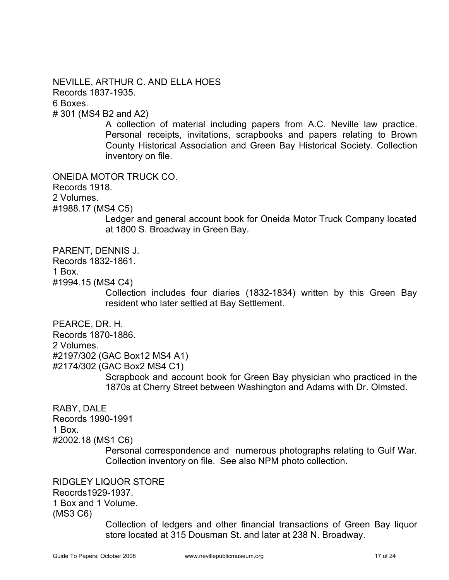NEVILLE, ARTHUR C. AND ELLA HOES Records 1837-1935. 6 Boxes. # 301 (MS4 B2 and A2)

> A collection of material including papers from A.C. Neville law practice. Personal receipts, invitations, scrapbooks and papers relating to Brown County Historical Association and Green Bay Historical Society. Collection inventory on file.

ONEIDA MOTOR TRUCK CO.

Records 1918.

2 Volumes.

#1988.17 (MS4 C5)

Ledger and general account book for Oneida Motor Truck Company located at 1800 S. Broadway in Green Bay.

PARENT, DENNIS J.

Records 1832-1861.

1 Box.

#1994.15 (MS4 C4)

Collection includes four diaries (1832-1834) written by this Green Bay resident who later settled at Bay Settlement.

PEARCE, DR. H.

Records 1870-1886.

2 Volumes.

#2197/302 (GAC Box12 MS4 A1)

#2174/302 (GAC Box2 MS4 C1)

Scrapbook and account book for Green Bay physician who practiced in the 1870s at Cherry Street between Washington and Adams with Dr. Olmsted.

RABY, DALE Records 1990-1991

1 Box.

#2002.18 (MS1 C6)

Personal correspondence and numerous photographs relating to Gulf War. Collection inventory on file. See also NPM photo collection.

RIDGLEY LIQUOR STORE Reocrds1929-1937. 1 Box and 1 Volume. (MS3 C6)

> Collection of ledgers and other financial transactions of Green Bay liquor store located at 315 Dousman St. and later at 238 N. Broadway.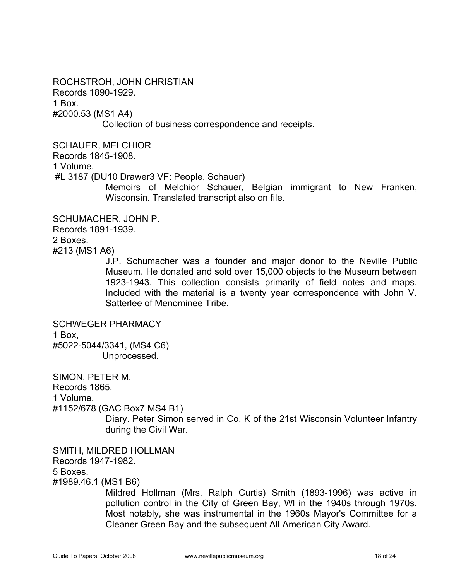ROCHSTROH, JOHN CHRISTIAN Records 1890-1929. 1 Box. #2000.53 (MS1 A4) Collection of business correspondence and receipts.

SCHAUER, MELCHIOR Records 1845-1908. 1 Volume. #L 3187 (DU10 Drawer3 VF: People, Schauer)

Memoirs of Melchior Schauer, Belgian immigrant to New Franken, Wisconsin. Translated transcript also on file.

SCHUMACHER, JOHN P. Records 1891-1939. 2 Boxes. #213 (MS1 A6)

J.P. Schumacher was a founder and major donor to the Neville Public Museum. He donated and sold over 15,000 objects to the Museum between 1923-1943. This collection consists primarily of field notes and maps. Included with the material is a twenty year correspondence with John V. Satterlee of Menominee Tribe.

SCHWEGER PHARMACY 1 Box, #5022-5044/3341, (MS4 C6) Unprocessed.

SIMON, PETER M. Records 1865. 1 Volume. #1152/678 (GAC Box7 MS4 B1) Diary. Peter Simon served in Co. K of the 21st Wisconsin Volunteer Infantry during the Civil War.

SMITH, MILDRED HOLLMAN Records 1947-1982. 5 Boxes.

#1989.46.1 (MS1 B6)

Mildred Hollman (Mrs. Ralph Curtis) Smith (1893-1996) was active in pollution control in the City of Green Bay, Wl in the 1940s through 1970s. Most notably, she was instrumental in the 1960s Mayor's Committee for a Cleaner Green Bay and the subsequent All American City Award.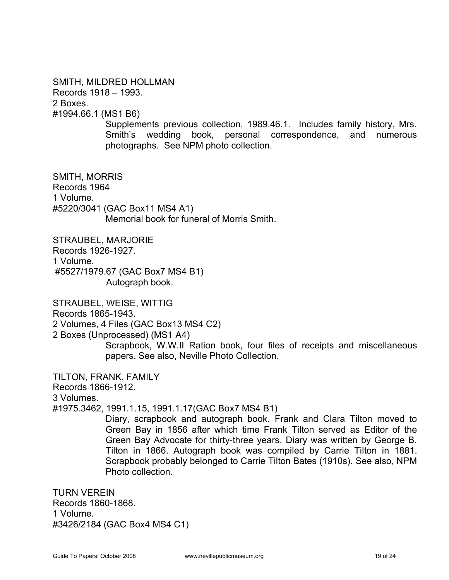SMITH, MILDRED HOLLMAN Records 1918 – 1993. 2 Boxes. #1994.66.1 (MS1 B6)

> Supplements previous collection, 1989.46.1. Includes family history, Mrs. Smith's wedding book, personal correspondence, and numerous photographs. See NPM photo collection.

SMITH, MORRIS Records 1964 1 Volume. #5220/3041 (GAC Box11 MS4 A1) Memorial book for funeral of Morris Smith.

STRAUBEL, MARJORIE Records 1926-1927. 1 Volume. #5527/1979.67 (GAC Box7 MS4 B1) Autograph book.

STRAUBEL, WEISE, WITTIG Records 1865-1943. 2 Volumes, 4 Files (GAC Box13 MS4 C2) 2 Boxes (Unprocessed) (MS1 A4)

Scrapbook, W.W.II Ration book, four files of receipts and miscellaneous papers. See also, Neville Photo Collection.

TILTON, FRANK, FAMILY

Records 1866-1912.

3 Volumes.

#1975.3462, 1991.1.15, 1991.1.17(GAC Box7 MS4 B1)

Diary, scrapbook and autograph book. Frank and Clara Tilton moved to Green Bay in 1856 after which time Frank Tilton served as Editor of the Green Bay Advocate for thirty-three years. Diary was written by George B. Tilton in 1866. Autograph book was compiled by Carrie Tilton in 1881. Scrapbook probably belonged to Carrie Tilton Bates (1910s). See also, NPM Photo collection.

TURN VEREIN Records 1860-1868. 1 Volume. #3426/2184 (GAC Box4 MS4 C1)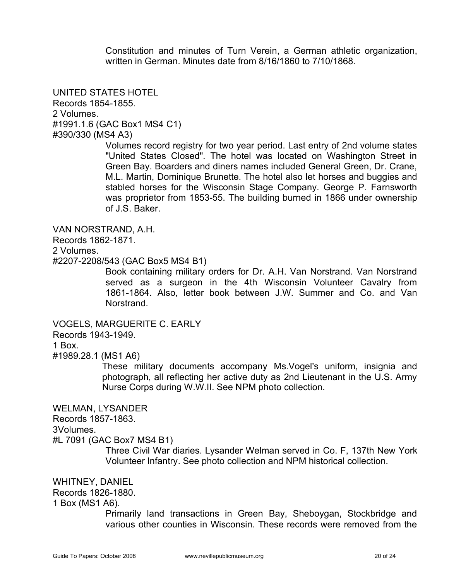Constitution and minutes of Turn Verein, a German athletic organization, written in German. Minutes date from 8/16/1860 to 7/10/1868.

UNITED STATES HOTEL Records 1854-1855. 2 Volumes. #1991.1.6 (GAC Box1 MS4 C1) #390/330 (MS4 A3)

> Volumes record registry for two year period. Last entry of 2nd volume states "United States Closed". The hotel was located on Washington Street in Green Bay. Boarders and diners names included General Green, Dr. Crane, M.L. Martin, Dominique Brunette. The hotel also let horses and buggies and stabled horses for the Wisconsin Stage Company. George P. Farnsworth was proprietor from 1853-55. The building burned in 1866 under ownership of J.S. Baker.

VAN NORSTRAND, A.H. Records 1862-1871. 2 Volumes. #2207-2208/543 (GAC Box5 MS4 B1)

Book containing military orders for Dr. A.H. Van Norstrand. Van Norstrand served as a surgeon in the 4th Wisconsin Volunteer Cavalry from 1861-1864. Also, letter book between J.W. Summer and Co. and Van Norstrand.

VOGELS, MARGUERITE C. EARLY Records 1943-1949. 1 Box. #1989.28.1 (MS1 A6)

> These military documents accompany Ms.Vogel's uniform, insignia and photograph, all reflecting her active duty as 2nd Lieutenant in the U.S. Army Nurse Corps during W.W.II. See NPM photo collection.

WELMAN, LYSANDER

Records 1857-1863.

3Volumes.

#L 7091 (GAC Box7 MS4 B1)

Three Civil War diaries. Lysander Welman served in Co. F, 137th New York Volunteer Infantry. See photo collection and NPM historical collection.

WHITNEY, DANIEL

Records 1826-1880.

1 Box (MS1 A6).

Primarily land transactions in Green Bay, Sheboygan, Stockbridge and various other counties in Wisconsin. These records were removed from the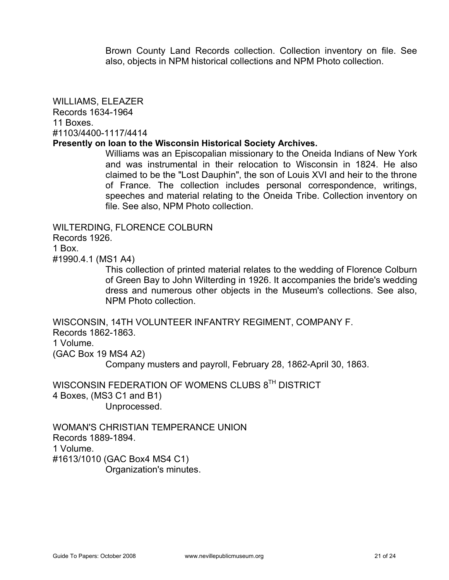Brown County Land Records collection. Collection inventory on file. See also, objects in NPM historical collections and NPM Photo collection.

WILLIAMS, ELEAZER Records 1634-1964 11 Boxes. #1103/4400-1117/4414

#### **Presently on loan to the Wisconsin Historical Society Archives.**

Williams was an Episcopalian missionary to the Oneida Indians of New York and was instrumental in their relocation to Wisconsin in 1824. He also claimed to be the "Lost Dauphin", the son of Louis XVI and heir to the throne of France. The collection includes personal correspondence, writings, speeches and material relating to the Oneida Tribe. Collection inventory on file. See also, NPM Photo collection.

WILTERDING, FLORENCE COLBURN Records 1926. 1 Box. #1990.4.1 (MS1 A4)

This collection of printed material relates to the wedding of Florence Colburn of Green Bay to John Wilterding in 1926. It accompanies the bride's wedding dress and numerous other objects in the Museum's collections. See also, NPM Photo collection.

WISCONSIN, 14TH VOLUNTEER INFANTRY REGIMENT, COMPANY F. Records 1862-1863. 1 Volume. (GAC Box 19 MS4 A2)

Company musters and payroll, February 28, 1862-April 30, 1863.

WISCONSIN FEDERATION OF WOMENS CLUBS 8<sup>TH</sup> DISTRICT 4 Boxes, (MS3 C1 and B1) Unprocessed.

WOMAN'S CHRISTIAN TEMPERANCE UNION Records 1889-1894. 1 Volume. #1613/1010 (GAC Box4 MS4 C1) Organization's minutes.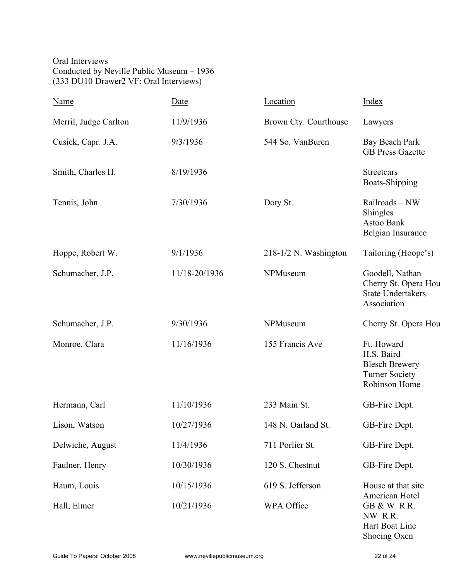Oral Interviews Conducted by Neville Public Museum – 1936 (333 DU10 Drawer2 VF: Oral Interviews)

| Name                  | Date          | Location                | <b>Index</b>                                                                                                |  |
|-----------------------|---------------|-------------------------|-------------------------------------------------------------------------------------------------------------|--|
| Merril, Judge Carlton | 11/9/1936     | Brown Cty. Courthouse   | Lawyers                                                                                                     |  |
| Cusick, Capr. J.A.    | 9/3/1936      | 544 So. VanBuren        | Bay Beach Park<br><b>GB Press Gazette</b>                                                                   |  |
| Smith, Charles H.     | 8/19/1936     |                         | <b>Streetcars</b><br><b>Boats-Shipping</b>                                                                  |  |
| Tennis, John          | 7/30/1936     | Doty St.                | Railroads-NW<br>Shingles<br>Astoo Bank<br>Belgian Insurance                                                 |  |
| Hoppe, Robert W.      | 9/1/1936      | $218-1/2$ N. Washington | Tailoring (Hoope's)                                                                                         |  |
| Schumacher, J.P.      | 11/18-20/1936 | NPMuseum                | Goodell, Nathan<br>Cherry St. Opera Hou<br><b>State Undertakers</b><br>Association                          |  |
| Schumacher, J.P.      | 9/30/1936     | NPMuseum                | Cherry St. Opera Hou                                                                                        |  |
| Monroe, Clara         | 11/16/1936    | 155 Francis Ave         | Ft. Howard<br>H.S. Baird<br><b>Blesch Brewery</b><br><b>Turner Society</b><br>Robinson Home                 |  |
| Hermann, Carl         | 11/10/1936    | 233 Main St.            | GB-Fire Dept.                                                                                               |  |
| Lison, Watson         | 10/27/1936    | 148 N. Oarland St.      | GB-Fire Dept.                                                                                               |  |
| Delwiche, August      | 11/4/1936     | 711 Porlier St.         | GB-Fire Dept.                                                                                               |  |
| Faulner, Henry        | 10/30/1936    | 120 S. Chestnut         | GB-Fire Dept.                                                                                               |  |
| Haum, Louis           | 10/15/1936    | 619 S. Jefferson        | House at that site<br>American Hotel<br><b>GB &amp; W R.R.</b><br>NW R.R.<br>Hart Boat Line<br>Shoeing Oxen |  |
| Hall, Elmer           | 10/21/1936    | WPA Office              |                                                                                                             |  |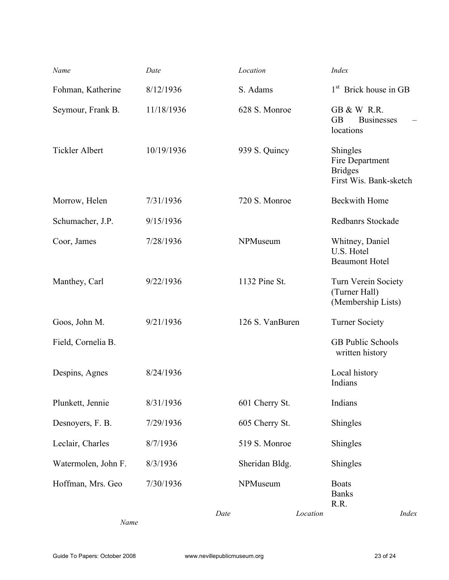| Name                  | Date       |      | Location        |          | <b>Index</b>                                                            |       |
|-----------------------|------------|------|-----------------|----------|-------------------------------------------------------------------------|-------|
| Fohman, Katherine     | 8/12/1936  |      | S. Adams        |          | 1 <sup>st</sup> Brick house in GB                                       |       |
| Seymour, Frank B.     | 11/18/1936 |      | 628 S. Monroe   |          | <b>GB &amp; W R.R.</b><br><b>GB</b><br><b>Businesses</b><br>locations   |       |
| <b>Tickler Albert</b> | 10/19/1936 |      | 939 S. Quincy   |          | Shingles<br>Fire Department<br><b>Bridges</b><br>First Wis. Bank-sketch |       |
| Morrow, Helen         | 7/31/1936  |      | 720 S. Monroe   |          | <b>Beckwith Home</b>                                                    |       |
| Schumacher, J.P.      | 9/15/1936  |      |                 |          | Redbanrs Stockade                                                       |       |
| Coor, James           | 7/28/1936  |      | NPMuseum        |          | Whitney, Daniel<br>U.S. Hotel<br><b>Beaumont Hotel</b>                  |       |
| Manthey, Carl         | 9/22/1936  |      | 1132 Pine St.   |          | Turn Verein Society<br>(Turner Hall)<br>(Membership Lists)              |       |
| Goos, John M.         | 9/21/1936  |      | 126 S. VanBuren |          | <b>Turner Society</b>                                                   |       |
| Field, Cornelia B.    |            |      |                 |          | <b>GB Public Schools</b><br>written history                             |       |
| Despins, Agnes        | 8/24/1936  |      |                 |          | Local history<br>Indians                                                |       |
| Plunkett, Jennie      | 8/31/1936  |      | 601 Cherry St.  |          | Indians                                                                 |       |
| Desnoyers, F. B.      | 7/29/1936  |      | 605 Cherry St.  |          | Shingles                                                                |       |
| Leclair, Charles      | 8/7/1936   |      | 519 S. Monroe   |          | Shingles                                                                |       |
| Watermolen, John F.   | 8/3/1936   |      | Sheridan Bldg.  |          | Shingles                                                                |       |
| Hoffman, Mrs. Geo     | 7/30/1936  |      | NPMuseum        |          | <b>Boats</b><br><b>Banks</b><br>R.R.                                    |       |
|                       |            | Date |                 | Location |                                                                         | Index |

*Name*